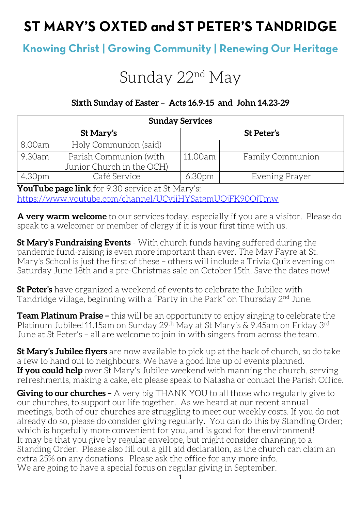# ST MARY'S OXTED and ST PETER'S TANDRIDGE

# **Knowing Christ | Growing Community | Renewing Our Heritage**

# Sunday 22<sup>nd</sup> May

## **Sixth Sunday of Easter – Acts 16.9-15 and John 14.23-29**

| <b>Sunday Services</b> |                           |                    |                         |  |
|------------------------|---------------------------|--------------------|-------------------------|--|
| St Mary's              |                           | St Peter's         |                         |  |
| 8.00am                 | Holy Communion (said)     |                    |                         |  |
| 9.30am '               | Parish Communion (with    | 11.00am            | <b>Family Communion</b> |  |
|                        | Junior Church in the OCH) |                    |                         |  |
| 4.30pm                 | Café Service              | 6.30 <sub>pm</sub> | Evening Prayer          |  |

**YouTube page link** for 9.30 service at St Mary's: <https://www.youtube.com/channel/UCviiHYSatgmUOjFK90OjTmw>

**A very warm welcome** to our services today, especially if you are a visitor. Please do speak to a welcomer or member of clergy if it is your first time with us.

**St Mary's Fundraising Events** - With church funds having suffered during the pandemic fund-raising is even more important than ever. The May Fayre at St. Mary's School is just the first of these – others will include a Trivia Quiz evening on Saturday June 18th and a pre-Christmas sale on October 15th. Save the dates now!

**St Peter's** have organized a weekend of events to celebrate the Jubilee with Tandridge village, beginning with a "Party in the Park" on Thursday 2<sup>nd</sup> June.

**Team Platinum Praise –** this will be an opportunity to enjoy singing to celebrate the Platinum Jubilee! 11.15am on Sunday 29th May at St Mary's & 9.45am on Friday 3rd June at St Peter's – all are welcome to join in with singers from across the team.

**St Mary's Jubilee flyers** are now available to pick up at the back of church, so do take a few to hand out to neighbours. We have a good line up of events planned. **If you could help** over St Mary's Jubilee weekend with manning the church, serving refreshments, making a cake, etc please speak to Natasha or contact the Parish Office.

**Giving to our churches –** A very big THANK YOU to all those who regularly give to our churches, to support our life together. As we heard at our recent annual meetings, both of our churches are struggling to meet our weekly costs. If you do not already do so, please do consider giving regularly. You can do this by Standing Order; which is hopefully more convenient for you, and is good for the environment! It may be that you give by regular envelope, but might consider changing to a Standing Order. Please also fill out a gift aid declaration, as the church can claim an extra 25% on any donations. Please ask the office for any more info. We are going to have a special focus on regular giving in September.